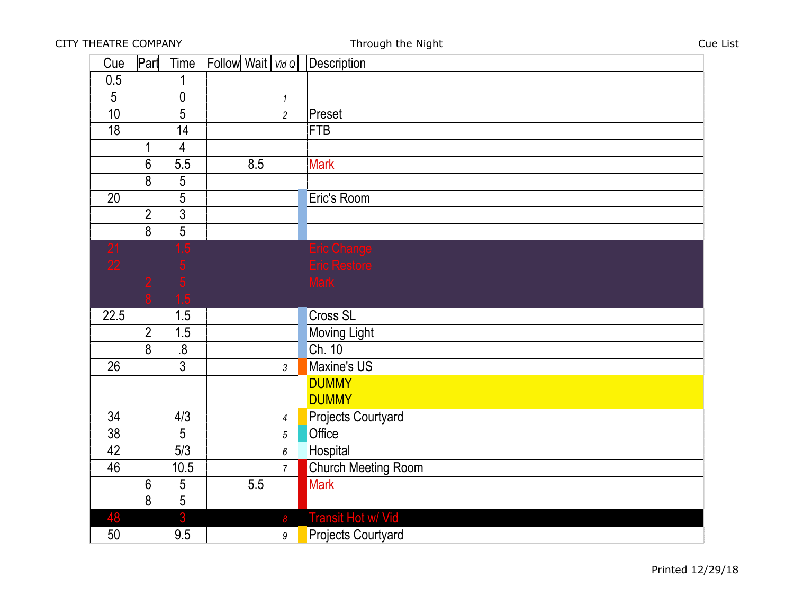| Cue            | Part           | Time           | Follow Wait $\vert$ Vid Q |     |                  | Description                 |
|----------------|----------------|----------------|---------------------------|-----|------------------|-----------------------------|
| 0.5            |                | 1              |                           |     |                  |                             |
| $\overline{5}$ |                | $\pmb{0}$      |                           |     | $\mathbf{1}$     |                             |
| 10             |                | $\overline{5}$ |                           |     | $\overline{2}$   | Preset                      |
| 18             |                | 14             |                           |     |                  | <b>FTB</b>                  |
|                | $\overline{1}$ | $\overline{4}$ |                           |     |                  |                             |
|                | $6\phantom{1}$ | 5.5            |                           | 8.5 |                  | <b>Mark</b>                 |
|                | 8              | 5              |                           |     |                  |                             |
| 20             |                | 5              |                           |     |                  | Eric's Room                 |
|                | $\overline{2}$ | $\overline{3}$ |                           |     |                  |                             |
|                | 8              | $\overline{5}$ |                           |     |                  |                             |
| 21<br>22       |                |                |                           |     |                  | Eric Change<br>Eric Restore |
|                |                |                |                           |     |                  |                             |
|                |                |                |                           |     |                  | <b>Mark</b>                 |
|                |                |                |                           |     |                  |                             |
|                |                |                |                           |     |                  |                             |
| 22.5           |                | 1.5            |                           |     |                  | <b>Cross SL</b>             |
|                | $\overline{2}$ | 1.5            |                           |     |                  | <b>Moving Light</b>         |
|                | 8              | 8.             |                           |     |                  | Ch. 10                      |
| 26             |                | $\overline{3}$ |                           |     | $\mathfrak{Z}$   | Maxine's US                 |
|                |                |                |                           |     |                  | <b>DUMMY</b>                |
|                |                |                |                           |     |                  | <b>DUMMY</b>                |
| 34             |                | 4/3            |                           |     | $\overline{4}$   | <b>Projects Courtyard</b>   |
| 38             |                | 5              |                           |     | $\sqrt{5}$       | Office                      |
| 42             |                | 5/3            |                           |     | $\boldsymbol{6}$ | Hospital                    |
| 46             |                | 10.5           |                           |     | $\overline{7}$   | <b>Church Meeting Room</b>  |
|                | $6\phantom{1}$ | $\overline{5}$ |                           | 5.5 |                  | <b>Mark</b>                 |
|                | 8              | 5              |                           |     |                  |                             |
| 48             |                | 3              |                           |     | 8                | <b>Transit Hot w/ Vid</b>   |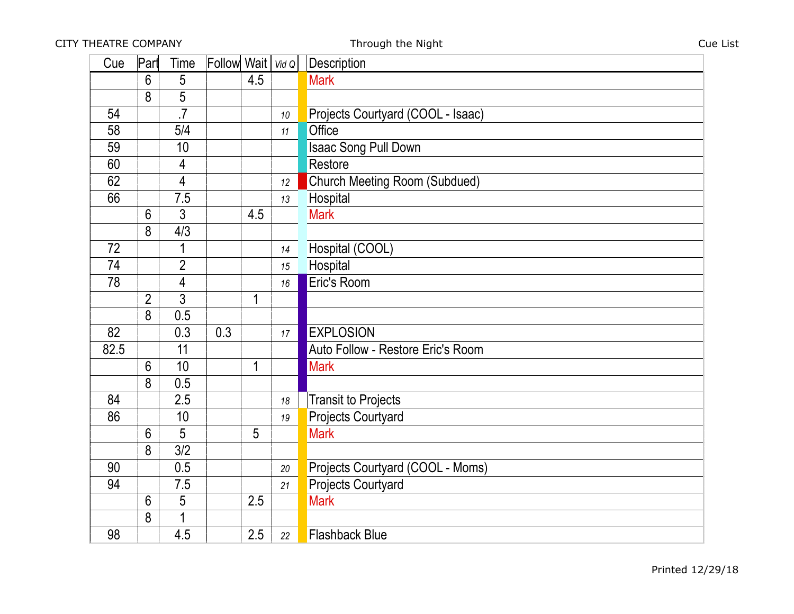| Cue  | Part           | Time            | Follow Wait $\vert$ Vid Q |             |                 | <b>Description</b>                   |
|------|----------------|-----------------|---------------------------|-------------|-----------------|--------------------------------------|
|      | 6              | 5               |                           | 4.5         |                 | <b>Mark</b>                          |
|      | 8              | 5               |                           |             |                 |                                      |
| 54   |                | $\overline{.7}$ |                           |             | 10              | Projects Courtyard (COOL - Isaac)    |
| 58   |                | 5/4             |                           |             | 11              | Office                               |
| 59   |                | 10              |                           |             |                 | Isaac Song Pull Down                 |
| 60   |                | 4               |                           |             |                 | Restore                              |
| 62   |                | 4               |                           |             | 12 <sup>°</sup> | <b>Church Meeting Room (Subdued)</b> |
| 66   |                | 7.5             |                           |             | 13              | Hospital                             |
|      | 6              | 3               |                           | 4.5         |                 | <b>Mark</b>                          |
|      | 8              | 4/3             |                           |             |                 |                                      |
| 72   |                | 1               |                           |             | 14              | Hospital (COOL)                      |
| 74   |                | $\overline{2}$  |                           |             | 15              | Hospital                             |
| 78   |                | 4               |                           |             | 16              | Eric's Room                          |
|      | $\overline{2}$ | 3               |                           | $\mathbf 1$ |                 |                                      |
|      | 8              | 0.5             |                           |             |                 |                                      |
| 82   |                | 0.3             | 0.3                       |             | 17              | <b>EXPLOSION</b>                     |
| 82.5 |                | 11              |                           |             |                 | Auto Follow - Restore Eric's Room    |
|      | 6              | 10              |                           | $\mathbf 1$ |                 | <b>Mark</b>                          |
|      | 8              | 0.5             |                           |             |                 |                                      |
| 84   |                | 2.5             |                           |             | 18              | <b>Transit to Projects</b>           |
| 86   |                | 10              |                           |             | 19              | <b>Projects Courtyard</b>            |
|      | 6              | 5               |                           | 5           |                 | <b>Mark</b>                          |
|      | 8              | 3/2             |                           |             |                 |                                      |
| 90   |                | 0.5             |                           |             | 20              | Projects Courtyard (COOL - Moms)     |
| 94   |                | 7.5             |                           |             | 21              | <b>Projects Courtyard</b>            |
|      | 6              | 5               |                           | 2.5         |                 | <b>Mark</b>                          |
|      | 8              |                 |                           |             |                 |                                      |
| 98   |                | 4.5             |                           | 2.5         | 22              | <b>Flashback Blue</b>                |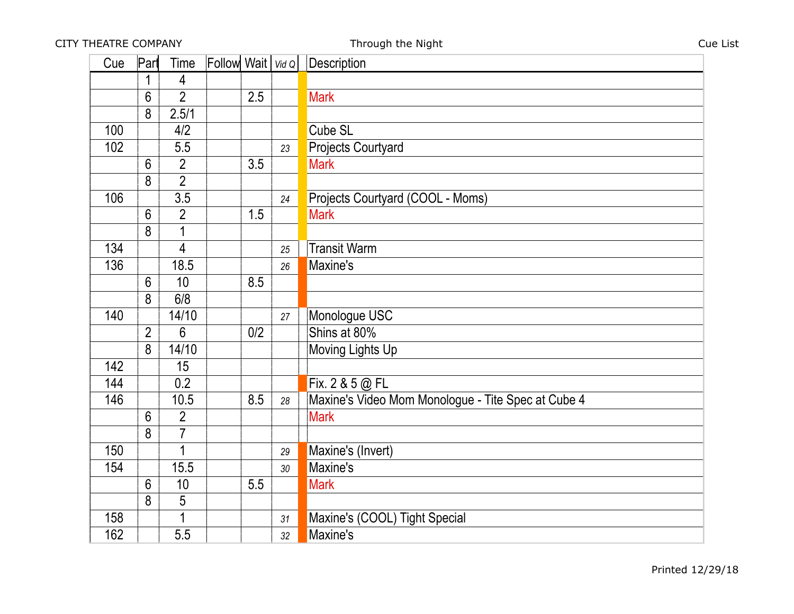| Cue | Part           | Time           | Follow Wait $\vert$ Vid Q |     |    | Description                                        |
|-----|----------------|----------------|---------------------------|-----|----|----------------------------------------------------|
|     | 1              | 4              |                           |     |    |                                                    |
|     | 6              | $\overline{2}$ |                           | 2.5 |    | <b>Mark</b>                                        |
|     | 8              | 2.5/1          |                           |     |    |                                                    |
| 100 |                | 4/2            |                           |     |    | Cube SL                                            |
| 102 |                | 5.5            |                           |     | 23 | <b>Projects Courtyard</b>                          |
|     | $6\phantom{1}$ | $\overline{2}$ |                           | 3.5 |    | <b>Mark</b>                                        |
|     | 8              | $\overline{2}$ |                           |     |    |                                                    |
| 106 |                | 3.5            |                           |     | 24 | Projects Courtyard (COOL - Moms)                   |
|     | 6              | $\overline{2}$ |                           | 1.5 |    | <b>Mark</b>                                        |
|     | 8              |                |                           |     |    |                                                    |
| 134 |                | 4              |                           |     | 25 | <b>Transit Warm</b>                                |
| 136 |                | 18.5           |                           |     | 26 | Maxine's                                           |
|     | 6              | 10             |                           | 8.5 |    |                                                    |
|     | 8              | 6/8            |                           |     |    |                                                    |
| 140 |                | 14/10          |                           |     | 27 | Monologue USC                                      |
|     | $\overline{2}$ | 6              |                           | 0/2 |    | Shins at 80%                                       |
|     | 8              | 14/10          |                           |     |    | Moving Lights Up                                   |
| 142 |                | 15             |                           |     |    |                                                    |
| 144 |                | 0.2            |                           |     |    | Fix. 2 & 5 @ FL                                    |
| 146 |                | 10.5           |                           | 8.5 | 28 | Maxine's Video Mom Monologue - Tite Spec at Cube 4 |
|     | 6              | $\overline{2}$ |                           |     |    | <b>Mark</b>                                        |
|     | 8              | $\overline{7}$ |                           |     |    |                                                    |
| 150 |                | 1              |                           |     | 29 | Maxine's (Invert)                                  |
| 154 |                | 15.5           |                           |     | 30 | Maxine's                                           |
|     | $6\phantom{1}$ | 10             |                           | 5.5 |    | <b>Mark</b>                                        |
|     | 8              | 5              |                           |     |    |                                                    |
| 158 |                |                |                           |     | 31 | Maxine's (COOL) Tight Special                      |
| 162 |                | 5.5            |                           |     | 32 | Maxine's                                           |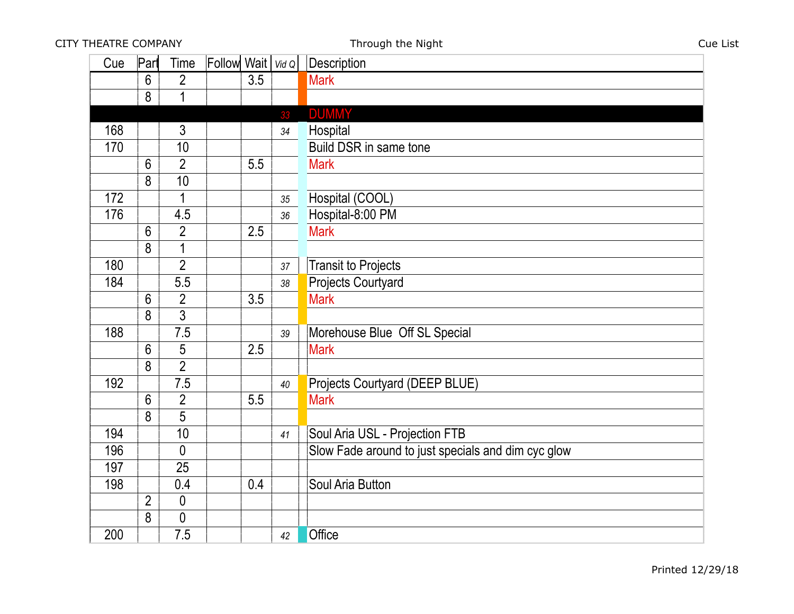| Cue | Part           | Time           | Follow Wait   Vid Q |     |    | Description                                        |
|-----|----------------|----------------|---------------------|-----|----|----------------------------------------------------|
|     | 6              | $\overline{2}$ |                     | 3.5 |    | <b>Mark</b>                                        |
|     | 8              | $\mathbf 1$    |                     |     |    |                                                    |
|     |                |                |                     |     | 33 | <b>DUMMY</b>                                       |
| 168 |                | 3              |                     |     | 34 | Hospital                                           |
| 170 |                | 10             |                     |     |    | Build DSR in same tone                             |
|     | 6              | $\overline{2}$ |                     | 5.5 |    | <b>Mark</b>                                        |
|     | 8              | 10             |                     |     |    |                                                    |
| 172 |                | $\mathbf 1$    |                     |     | 35 | Hospital (COOL)                                    |
| 176 |                | 4.5            |                     |     | 36 | Hospital-8:00 PM                                   |
|     | 6              | $\overline{2}$ |                     | 2.5 |    | <b>Mark</b>                                        |
|     | 8              | $\mathbf 1$    |                     |     |    |                                                    |
| 180 |                | $\overline{2}$ |                     |     | 37 | <b>Transit to Projects</b>                         |
| 184 |                | 5.5            |                     |     | 38 | <b>Projects Courtyard</b>                          |
|     | 6              | $\overline{2}$ |                     | 3.5 |    | <b>Mark</b>                                        |
|     | 8              | $\overline{3}$ |                     |     |    |                                                    |
| 188 |                | 7.5            |                     |     | 39 | Morehouse Blue Off SL Special                      |
|     | 6              | 5              |                     | 2.5 |    | <b>Mark</b>                                        |
|     | 8              | $\overline{2}$ |                     |     |    |                                                    |
| 192 |                | 7.5            |                     |     | 40 | Projects Courtyard (DEEP BLUE)                     |
|     | 6              | $\overline{2}$ |                     | 5.5 |    | <b>Mark</b>                                        |
|     | 8              | 5              |                     |     |    |                                                    |
| 194 |                | 10             |                     |     | 41 | Soul Aria USL - Projection FTB                     |
| 196 |                | $\mathbf{0}$   |                     |     |    | Slow Fade around to just specials and dim cyc glow |
| 197 |                | 25             |                     |     |    |                                                    |
| 198 |                | 0.4            |                     | 0.4 |    | Soul Aria Button                                   |
|     | $\overline{2}$ | 0              |                     |     |    |                                                    |
|     | 8              | 0              |                     |     |    |                                                    |
| 200 |                | 7.5            |                     |     | 42 | Office                                             |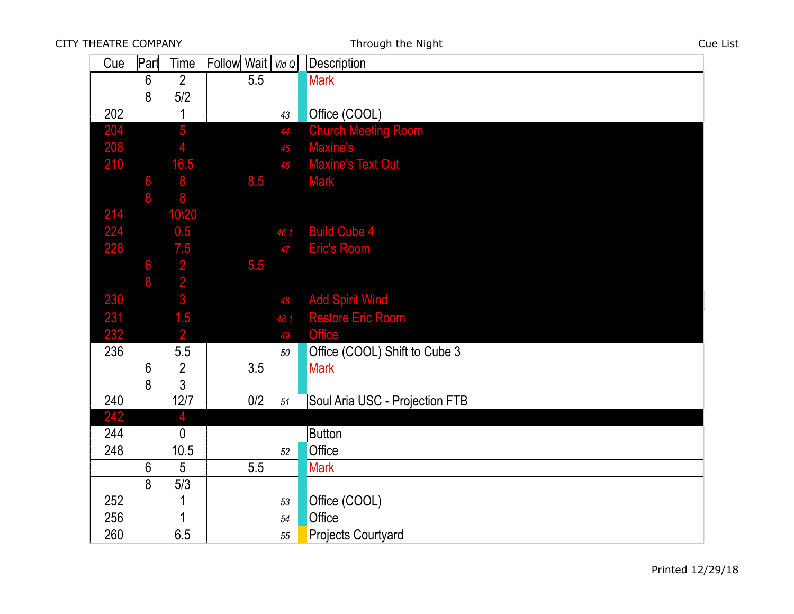| Cue        | Part           | Time                                              | Follow Wait   Vid Q |     |      | <b>Description</b>             |
|------------|----------------|---------------------------------------------------|---------------------|-----|------|--------------------------------|
|            | 6              | $\overline{2}$                                    |                     | 5.5 |      | <b>Mark</b>                    |
|            | 8              | 5/2                                               |                     |     |      |                                |
| 202        |                | 1                                                 |                     |     | 43   | Office (COOL)                  |
| 204        |                | 5                                                 |                     |     | 44   | <b>Church Meeting Room</b>     |
| 208        |                |                                                   |                     |     | 45   | Maxine's                       |
| 210        |                | 16.5                                              |                     |     | 46   | <b>Maxine's Text Out</b>       |
|            | 6              | 8                                                 |                     | 8.5 |      | <b>Mark</b>                    |
|            | 8              | 8                                                 |                     |     |      |                                |
| 214        |                | 10\20                                             |                     |     |      |                                |
| <b>224</b> |                | 0.5                                               |                     |     | 46.1 | <b>Build Cube 4</b>            |
| 228        |                |                                                   |                     |     | 47   | <b>Eric's Room</b>             |
|            | 6000           |                                                   |                     | 5.5 |      |                                |
|            |                | $\begin{array}{c} 7.5 \\ 2 \\ 2 \\ 3 \end{array}$ |                     |     |      |                                |
| 230        |                |                                                   |                     |     | 48   | <b>Add Spirit Wind</b>         |
| 231        |                | 1.5                                               |                     |     | 48.1 | <b>Restore Eric Room</b>       |
| 232        |                | $\overline{2}$                                    |                     |     | 49   | <b>Office</b>                  |
| 236        |                | 5.5                                               |                     |     | 50   | Office (COOL) Shift to Cube 3  |
|            | $6\phantom{1}$ | $\overline{2}$                                    |                     | 3.5 |      | <b>Mark</b>                    |
|            | 8              | $\overline{3}$                                    |                     |     |      |                                |
| 240        |                | 12/7                                              |                     | 0/2 | 51   | Soul Aria USC - Projection FTB |
| 242        |                | 4                                                 |                     |     |      |                                |
| 244        |                | $\mathbf{0}$                                      |                     |     |      | Button                         |
| 248        |                | 10.5                                              |                     |     | 52   | Office                         |
|            | 6              | 5                                                 |                     | 5.5 |      | <b>Mark</b>                    |
|            | 8              | 5/3                                               |                     |     |      |                                |
| 252        |                | $\mathbf 1$                                       |                     |     | 53   | Office (COOL)                  |
| 256        |                | 1                                                 |                     |     | 54   | Office                         |
| 260        |                | 6.5                                               |                     |     | 55   | <b>Projects Courtyard</b>      |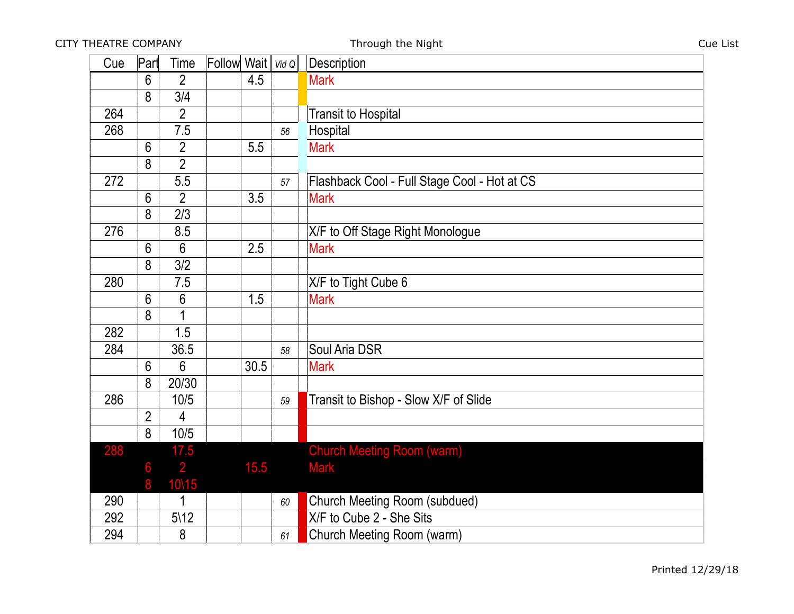CITY THEATRE COMPANY **CUE LIST** Through the Night Cue List Cue List

| Cue        | Part           | Time             | Follow Wait   Vid Q |      |    | Description                                  |
|------------|----------------|------------------|---------------------|------|----|----------------------------------------------|
|            | 6              | $\overline{2}$   |                     | 4.5  |    | <b>Mark</b>                                  |
|            | 8              | 3/4              |                     |      |    |                                              |
| 264        |                | $\overline{2}$   |                     |      |    | <b>Transit to Hospital</b>                   |
| 268        |                | 7.5              |                     |      | 56 | Hospital                                     |
|            | $6\phantom{1}$ | $\overline{2}$   |                     | 5.5  |    | <b>Mark</b>                                  |
|            | 8              | $\overline{2}$   |                     |      |    |                                              |
| 272        |                | 5.5              |                     |      | 57 | Flashback Cool - Full Stage Cool - Hot at CS |
|            | 6              | $\overline{2}$   |                     | 3.5  |    | <b>Mark</b>                                  |
|            | 8              | 2/3              |                     |      |    |                                              |
| 276        |                | 8.5              |                     |      |    | X/F to Off Stage Right Monologue             |
|            | 6              | 6                |                     | 2.5  |    | <b>Mark</b>                                  |
|            | 8              | 3/2              |                     |      |    |                                              |
| 280        |                | 7.5              |                     |      |    | X/F to Tight Cube 6                          |
|            | 6              | 6                |                     | 1.5  |    | <b>Mark</b>                                  |
|            | 8              |                  |                     |      |    |                                              |
| 282        |                | 1.5              |                     |      |    |                                              |
| 284        |                | 36.5             |                     |      | 58 | Soul Aria DSR                                |
|            | 6              | 6                |                     | 30.5 |    | <b>Mark</b>                                  |
|            | 8              | 20/30            |                     |      |    |                                              |
| 286        |                | 10/5             |                     |      | 59 | Transit to Bishop - Slow X/F of Slide        |
|            | $\overline{2}$ | 4                |                     |      |    |                                              |
|            | 8              | 10/5             |                     |      |    |                                              |
| <b>288</b> |                | 17.5             |                     |      |    | <b>Church Meeting Room (warm)</b>            |
|            | 6              | $\overline{2}$   |                     | 15.5 |    | <b>Mark</b>                                  |
|            | 8              | 10\15            |                     |      |    |                                              |
| 290        |                | 1                |                     |      | 60 | Church Meeting Room (subdued)                |
| 292        |                | $5\backslash 12$ |                     |      |    | X/F to Cube 2 - She Sits                     |
| 294        |                | 8                |                     |      | 61 | Church Meeting Room (warm)                   |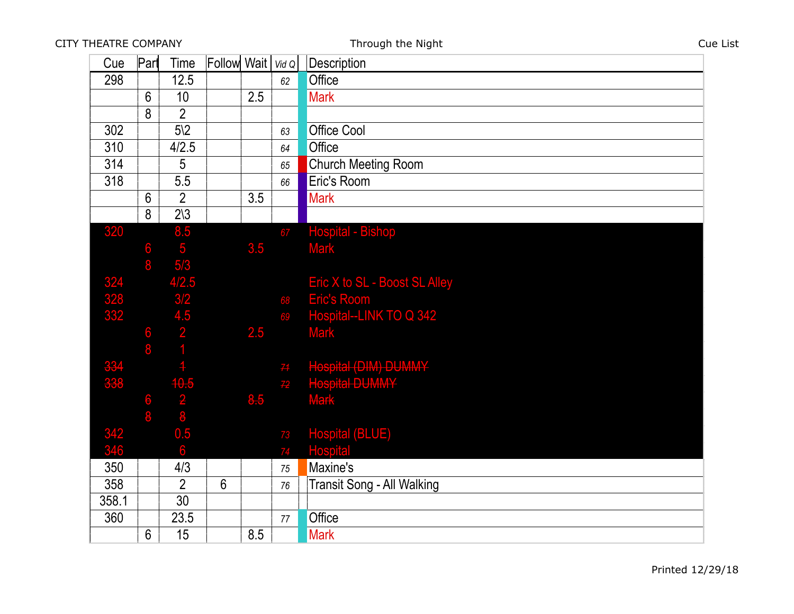| Cue               | Part           | Time                                                                                          | <b>Follow</b> Wait |     | VidQ | Description                            |
|-------------------|----------------|-----------------------------------------------------------------------------------------------|--------------------|-----|------|----------------------------------------|
| 298               |                | 12.5                                                                                          |                    |     | 62   | Office                                 |
|                   | 6              | 10                                                                                            |                    | 2.5 |      | <b>Mark</b>                            |
|                   | 8              | $\overline{2}$                                                                                |                    |     |      |                                        |
| 302               |                | $5\sqrt{2}$                                                                                   |                    |     | 63   | <b>Office Cool</b>                     |
| 310               |                | 4/2.5                                                                                         |                    |     | 64   | Office                                 |
| 314               |                | 5                                                                                             |                    |     | 65   | <b>Church Meeting Room</b>             |
| 318               |                | 5.5                                                                                           |                    |     | 66   | Eric's Room                            |
|                   | $6\phantom{a}$ | $\overline{2}$                                                                                |                    | 3.5 |      | <b>Mark</b>                            |
|                   | 8              | $2\sqrt{3}$                                                                                   |                    |     |      |                                        |
| 320               |                | 8.5                                                                                           |                    |     | 67   | <b>Hospital - Bishop</b>               |
|                   | 6              | $\overline{\mathbf{5}}$                                                                       |                    | 3.5 |      | <b>Mark</b>                            |
|                   | 8              | 5/3                                                                                           |                    |     |      |                                        |
| 324<br>328<br>332 |                | 4/2.5                                                                                         |                    |     |      | Eric X to SL - Boost SL Alley          |
|                   |                | 3/2                                                                                           |                    |     | 68   | <b>Eric's Room</b>                     |
|                   |                |                                                                                               |                    |     | 69   | Hospital--LINK TO Q 342                |
|                   | 6 6            | $\begin{array}{c} 4.5 \\ 2 \\ 1 \end{array}$                                                  |                    | 2.5 |      | <b>Mark</b>                            |
|                   |                |                                                                                               |                    |     |      |                                        |
| 334<br>338        |                |                                                                                               |                    |     | 71   | Hospital (DIM) DUMMY<br>Hospital DUMMY |
|                   |                |                                                                                               |                    |     | 72   |                                        |
|                   | OC OD          | $\begin{array}{@{}c@{\hspace{1em}}c@{\hspace{1em}}c}\n 10.5 \\ \hline\n 2 \\ 8\n \end{array}$ |                    | 8.5 |      | Mark                                   |
|                   |                |                                                                                               |                    |     |      |                                        |
| 342<br>346        |                | 0.5                                                                                           |                    |     | 73   | <b>Hospital (BLUE)</b>                 |
|                   |                | 6                                                                                             |                    |     | 74   | <b>Hospital</b>                        |
| 350               |                | 4/3                                                                                           |                    |     | 75   | Maxine's                               |
| 358               |                | $\overline{2}$                                                                                | $6\overline{6}$    |     | 76   | <b>Transit Song - All Walking</b>      |
| 358.1             |                | 30                                                                                            |                    |     |      |                                        |
| 360               |                | 23.5                                                                                          |                    |     | 77   | Office                                 |
|                   | $6\phantom{1}$ | 15                                                                                            |                    | 8.5 |      | <b>Mark</b>                            |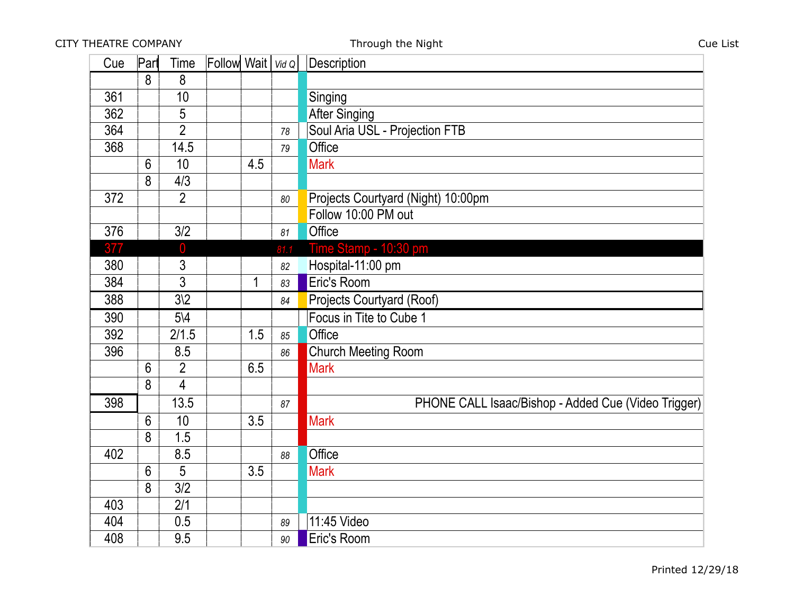| Cue | Part           | Time             | Follow Wait $\vert$ Vid Q |     |      | Description                                         |
|-----|----------------|------------------|---------------------------|-----|------|-----------------------------------------------------|
|     | 8              | 8                |                           |     |      |                                                     |
| 361 |                | 10               |                           |     |      | Singing                                             |
| 362 |                | 5                |                           |     |      | <b>After Singing</b>                                |
| 364 |                | $\overline{2}$   |                           |     | 78   | Soul Aria USL - Projection FTB                      |
| 368 |                | 14.5             |                           |     | 79   | Office                                              |
|     | $6\phantom{1}$ | 10               |                           | 4.5 |      | <b>Mark</b>                                         |
|     | 8              | 4/3              |                           |     |      |                                                     |
| 372 |                | $\overline{2}$   |                           |     | 80   | Projects Courtyard (Night) 10:00pm                  |
|     |                |                  |                           |     |      | Follow 10:00 PM out                                 |
| 376 |                | 3/2              |                           |     | 81   | Office                                              |
| 377 |                | $\overline{0}$   |                           |     | 81.1 | Time Stamp - 10:30 pm                               |
| 380 |                | $\mathfrak{Z}$   |                           |     | 82   | Hospital-11:00 pm                                   |
| 384 |                | $\overline{3}$   |                           | 1   | 83   | Eric's Room                                         |
| 388 |                | $3\sqrt{2}$      |                           |     | 84   | Projects Courtyard (Roof)                           |
| 390 |                | $5\backslash 4$  |                           |     |      | Focus in Tite to Cube 1                             |
| 392 |                | 2/1.5            |                           | 1.5 | 85   | Office                                              |
| 396 |                | 8.5              |                           |     | 86   | <b>Church Meeting Room</b>                          |
|     | 6              | $\overline{2}$   |                           | 6.5 |      | <b>Mark</b>                                         |
|     | 8              | $\overline{4}$   |                           |     |      |                                                     |
| 398 |                | 13.5             |                           |     | 87   | PHONE CALL Isaac/Bishop - Added Cue (Video Trigger) |
|     | 6              | 10 <sup>1</sup>  |                           | 3.5 |      | <b>Mark</b>                                         |
|     | 8              | 1.5              |                           |     |      |                                                     |
| 402 |                | 8.5              |                           |     | 88   | Office                                              |
|     | 6              | 5                |                           | 3.5 |      | <b>Mark</b>                                         |
|     | 8              | $\overline{3/2}$ |                           |     |      |                                                     |
| 403 |                | 2/1              |                           |     |      |                                                     |
| 404 |                | 0.5              |                           |     | 89   | 11:45 Video                                         |
| 408 |                | 9.5              |                           |     | 90   | Eric's Room                                         |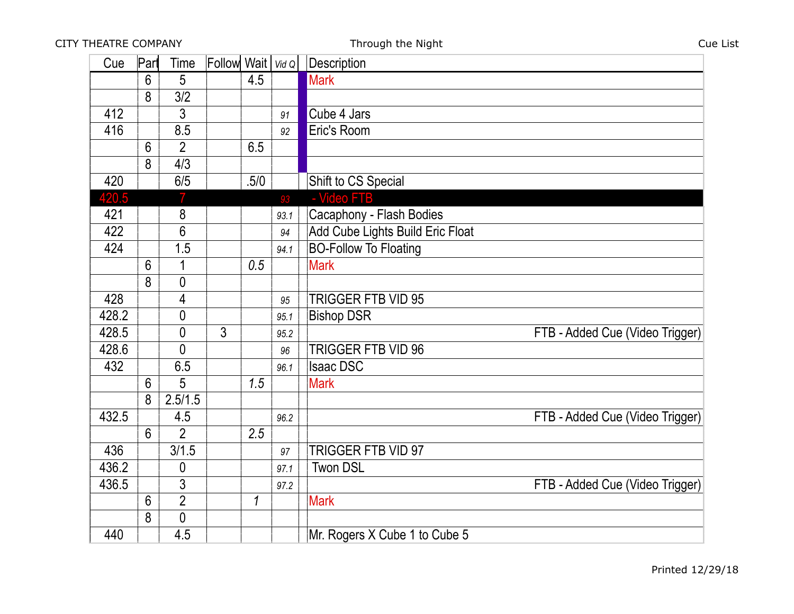| Cue   | Part           | Time           | Follow Wait $\vert$ Vid Q |               |      | Description                      |
|-------|----------------|----------------|---------------------------|---------------|------|----------------------------------|
|       | 6              | 5              |                           | 4.5           |      | <b>Mark</b>                      |
|       | 8              | 3/2            |                           |               |      |                                  |
| 412   |                | 3              |                           |               | 91   | Cube 4 Jars                      |
| 416   |                | 8.5            |                           |               | 92   | Eric's Room                      |
|       | 6              | $\overline{2}$ |                           | 6.5           |      |                                  |
|       | 8              | 4/3            |                           |               |      |                                  |
| 420   |                | 6/5            |                           | .5/0          |      | Shift to CS Special              |
| 420.5 |                |                |                           |               | 93   | - Video FTB                      |
| 421   |                | 8              |                           |               | 93.1 | Cacaphony - Flash Bodies         |
| 422   |                | 6              |                           |               | 94   | Add Cube Lights Build Eric Float |
| 424   |                | 1.5            |                           |               | 94.1 | <b>BO-Follow To Floating</b>     |
|       | 6              | 1              |                           | 0.5           |      | <b>Mark</b>                      |
|       | 8              | $\overline{0}$ |                           |               |      |                                  |
| 428   |                | 4              |                           |               | 95   | <b>TRIGGER FTB VID 95</b>        |
| 428.2 |                | $\theta$       |                           |               | 95.1 | <b>Bishop DSR</b>                |
| 428.5 |                | $\overline{0}$ | 3                         |               | 95.2 | FTB - Added Cue (Video Trigger)  |
| 428.6 |                | 0              |                           |               | 96   | TRIGGER FTB VID 96               |
| 432   |                | 6.5            |                           |               | 96.1 | <b>Isaac DSC</b>                 |
|       | 6              | 5              |                           | 1.5           |      | <b>Mark</b>                      |
|       | 8              | 2.5/1.5        |                           |               |      |                                  |
| 432.5 |                | 4.5            |                           |               | 96.2 | FTB - Added Cue (Video Trigger)  |
|       | $6\phantom{1}$ | $\overline{2}$ |                           | 2.5           |      |                                  |
| 436   |                | 3/1.5          |                           |               | 97   | TRIGGER FTB VID 97               |
| 436.2 |                | 0              |                           |               | 97.1 | <b>Twon DSL</b>                  |
| 436.5 |                | 3              |                           |               | 97.2 | FTB - Added Cue (Video Trigger)  |
|       | $6\phantom{1}$ | $\overline{2}$ |                           | $\mathcal{I}$ |      | <b>Mark</b>                      |
|       | 8              | 0              |                           |               |      |                                  |
| 440   |                | 4.5            |                           |               |      | Mr. Rogers X Cube 1 to Cube 5    |